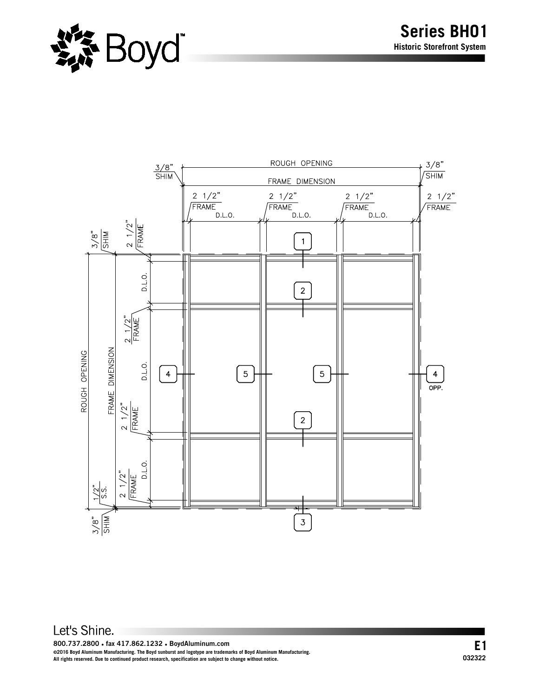

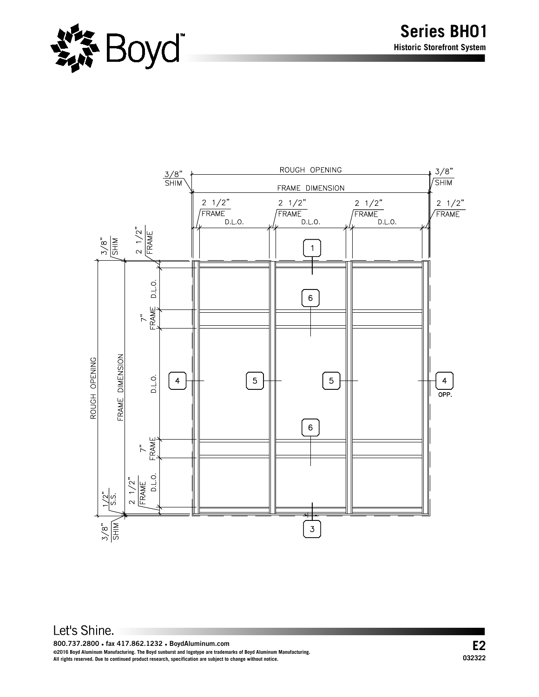

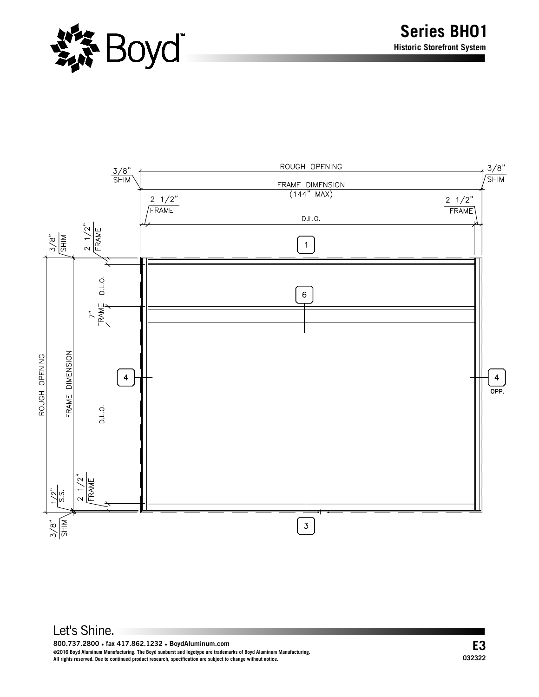



**800.737.2800 ● fax 417.862.1232 ● BoydAluminum.com**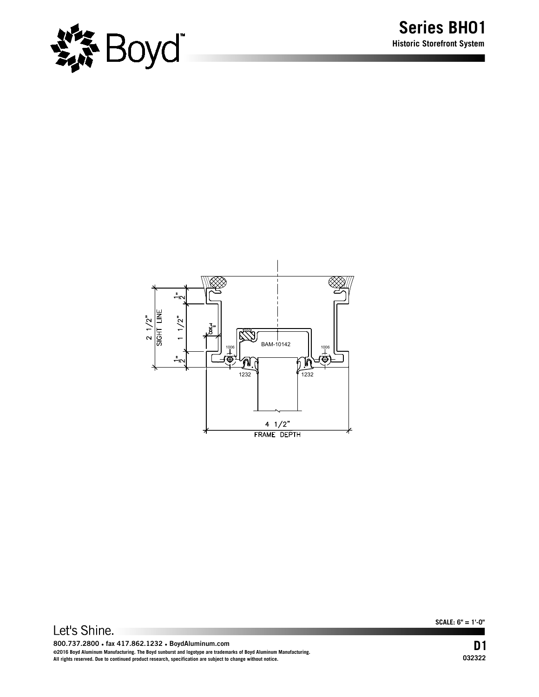



**SCALE: 6" = 1'-0"**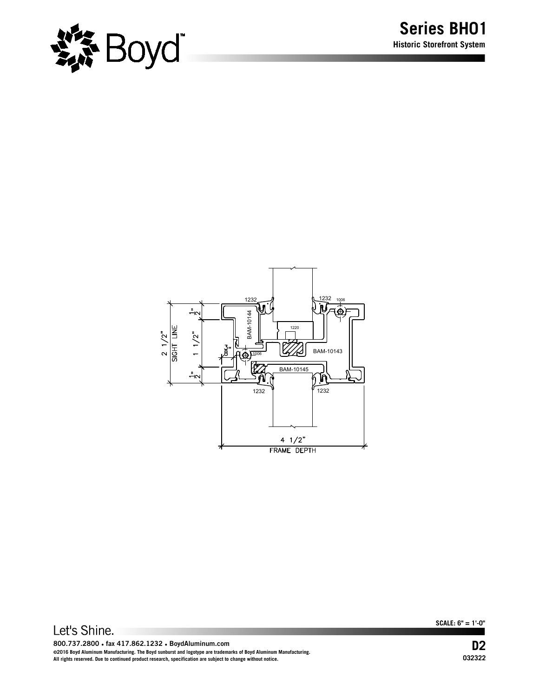



**SCALE: 6" = 1'-0"**

**800.737.2800 ● fax 417.862.1232 ● BoydAluminum.com ©2016 Boyd Aluminum Manufacturing. The Boyd sunburst and logotype are trademarks of Boyd Aluminum Manufacturing. All rights reserved. Due to continued product research, specification are subject to change without notice.**

**D2 032322**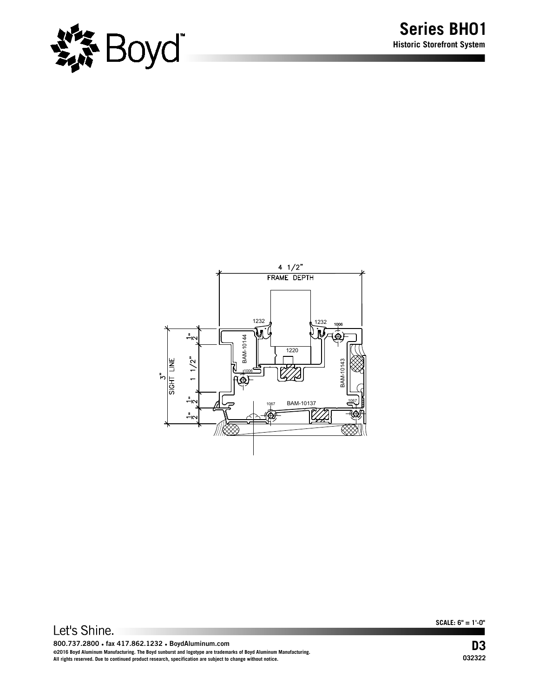



**SCALE: 6" = 1'-0"**

**800.737.2800 ● fax 417.862.1232 ● BoydAluminum.com ©2016 Boyd Aluminum Manufacturing. The Boyd sunburst and logotype are trademarks of Boyd Aluminum Manufacturing. All rights reserved. Due to continued product research, specification are subject to change without notice.**

**D3 032322**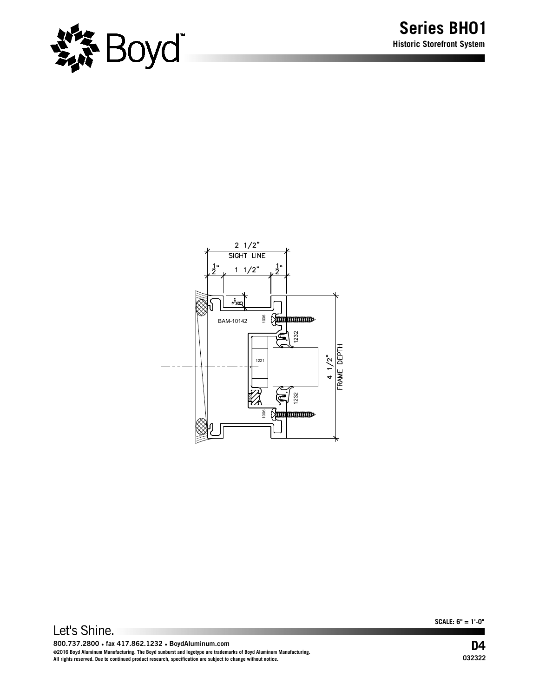



**SCALE: 6" = 1'-0"**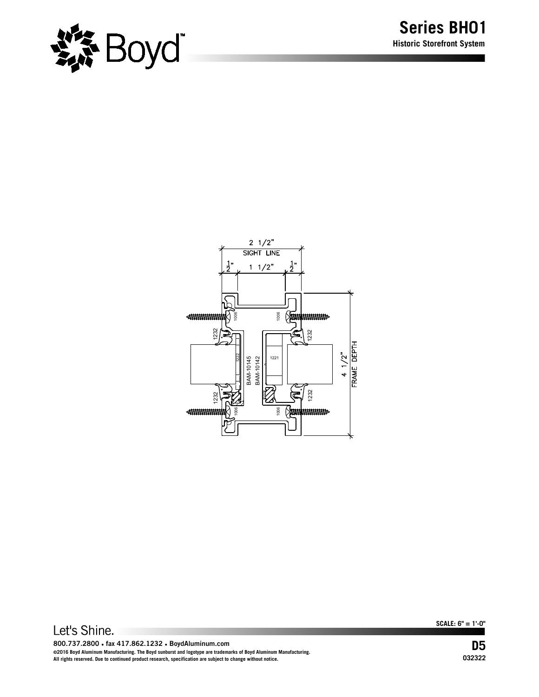



**SCALE: 6" = 1'-0"**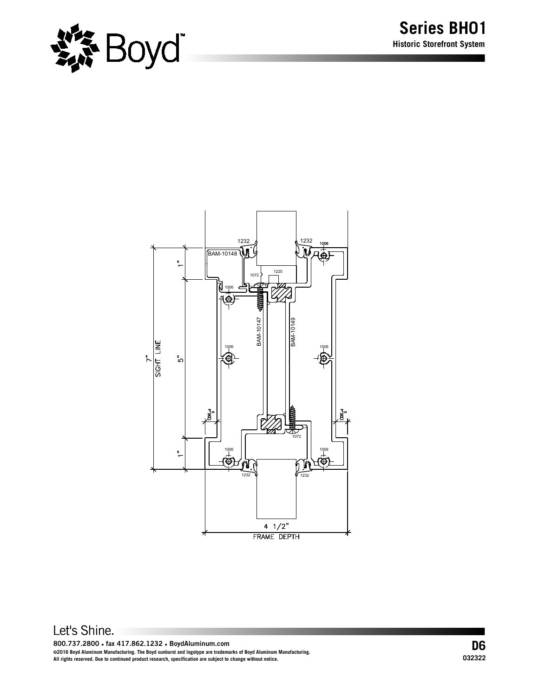